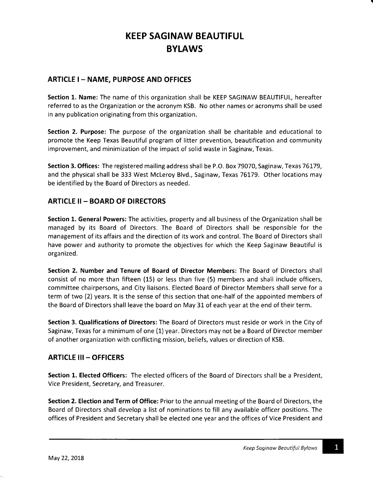## ARTICLE I - NAME, PURPOSE AND OFFICES

Section 1. Name: The name of this organization shall be KEEP SAGINAW BEAUTIFUL, hereafter referred to as the Organization or the acronym KSB. No other names or acronyms shall be used in any publication originating from this organization.

Section 2. Purpose: The purpose of the organization shall be charitable and educational to promote the Keep Texas Beautiful program of litter prevention, beautification and community improvement, and minimization of the impact of solid waste in Saginaw, Texas.

Section 3. Offices: The registered mailing address shall be P.O. Box 79O7O, Saginaw, Texas 76179, and the physical shall be 333 West Mcleroy Blvd., Saginaw, Texas 76179. Other locations may be identified by the Board of Directors as needed.

## ARTICLE II- BOARD OF DIRECTORS

Section 1. General Powers: The activities, property and all business of the Organization shall be managed by its Board of Directors. The Board of Directors shall be responsible for the management of its affairs and the direction of its work and control. The Board of Directors shall have power and authority to promote the objectives for which the Keep Saginaw Beautiful is organized.

Section 2. Number and Tenure of Board of Director Members: The Board of Directors shall consist of no more than fifteen (15) or less than five (5) members and shall include officers, committee chairpersons, and City liaisons. Elected Board of Director Members shall serve for <sup>a</sup> term of two (2) years. lt is the sense of this section that one-half of the appointed members of the Board of Directors shall leave the board on May 31 of each year at the end of their term.

Section 3. Qualifications of Directors: The Board of Directors must reside or work in the City of Saginaw, Texas for a minimum of one (1) year. Directors may not be a Board of Director member of another organization with conflicting mission, beliefs, values or direction of KSB.

### ARTICLE III - OFFICERS

Section 1. Elected Officers: The elected officers of the Board of Directors shall be a President, Vice President, Secretary, and Treasurer.

Section 2. Election and Term of Office: Prior to the annual meeting of the Board of Directors, the Board of Directors shall develop a list of nominations to fill any available officer positions. The offices of President and Secretary shall be elected one year and the offices of Vice President and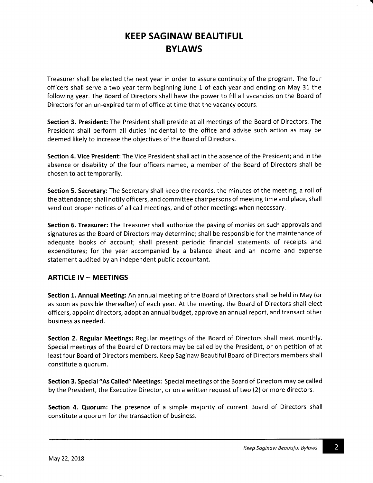Treasurer shall be elected the next year in order to assure continuity of the program. The four officers shall serve a two year term beginning June 1 of each year and ending on May 31 the following year. The Board of Directors shall have the power to fill all vacancies on the Board of Directors for an un-expired term of office at time that the vacancy occurs.

Section 3. President: The President shall preside at all meetings of the Board of Directors. The President shall perform all duties incidental to the office and advise such action as may be deemed likely to increase the objectives of the Board of Directors.

Section 4. Vice President: The Vice President shall act in the absence of the President; and in the absence or disability of the four officers named, a member of the Board of Directors shall be chosen to act temporarily.

Section 5. Secretary: The Secretary shall keep the records, the minutes of the meeting, a roll of the attendance; shall notify officers, and committee chairpersons of meeting time and place, shall send out proper notices of all call meetings, and of other meetings when necessary.

Section 6. Treasurer: The Treasurer shall authorize the paying of monies on such approvals and signatures as the Board of Directors may determine; shall be responsible for the maintenance of adequate books of account; shall present periodic financial statements of receipts and expenditures; for the year accompanied by a balance sheet and an income and expense statement audited by an independent public accountant.

### ARTICLE IV- MEETINGS

Section 1. Annual Meeting: An annual meeting of the Board of Directors shall be held in May (or as soon as possible thereafter) of each year. At the meeting, the Board of Directors shall elect officers, appoint directors, adopt an annual budget, approve an annual report, and transact other business as needed.

Section 2. Regular Meetings: Regular meetings of the Board of Directors shall meet monthly. Special meetings of the Board of Directors may be called by the President, or on petition of at least four Board of Directors members. Keep Saginaw Beautiful Board of Directors members shall constitute a quorum.

Section 3. Special"As Called" Meetings: Special meetings of the Board of Directors may be called by the President, the Executive Director, or on a written request of two (2) or more directors.

Section 4. Quorum: The presence of a simple majority of current Board of Directors shall constitute a quorum for the transaction of business.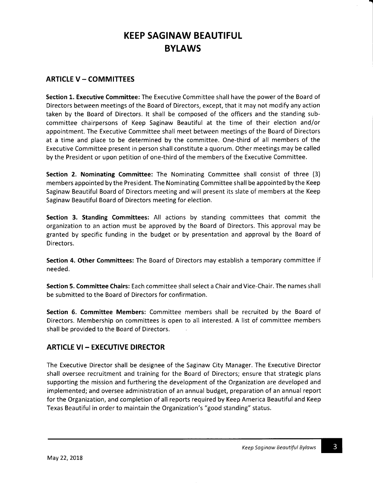# ARTICLE V - COMMITTEES

Section 1. Executive Committee: The Executive Committee shall have the power of the Board of Directors between meetings of the Board of Directors, except, that it may not modify any action taken by the Board of Directors. lt shall be composed of the officers and the standing subcommittee chairpersons of Keep Saginaw Beautiful at the time of their election and/or appointment. The Executive Committee shall meet between meetings of the Board of Directors at a time and place to be determined by the committee. One-third of all members of the Executive Committee present in person shall constitute a quorum. Other meetings may be called by the President or upon petition of one-third of the members of the Executive Committee,

Section 2. Nominating Committee: The Nominating Committee shall consist of three (3) members appointed by the President. The Nominating Committee shall be appointed by the Keep Saginaw Beautiful Board of Directors meeting and will present its slate of members at the Keep Saginaw Beautiful Board of Directors meeting for election.

Section 3. Standing Committees: All actions by standing committees that commit the organization to an action must be approved by the Board of Directors, This approval may be granted by specific funding in the budget or by presentation and approval by the Board of Directors.

Section 4. Other Committees: The Board of Directors may establish a temporary committee if needed.

Section 5. Committee Chairs: Each committee shall select a Chair and Vice-Chair. The names shall be submitted to the Board of Directors for confirmation.

Section 6. Committee Members: Committee members shall be recruited by the Board of Directors. Membership on committees is open to all interested. A list of committee members shall be provided to the Board of Directors

### ARTICLE VI- EXECUTIVE DIRECTOR

The Executive Director shall be designee of the Saginaw City Manager. The Executive Director shall oversee recruitment and training for the Board of Directors; ensure that strategic plans supporting the mission and furthering the development of the Organization are developed and implemented; and oversee administration of an annual budget, preparation of an annual report for the Organization, and completion of all reports required by Keep America Beautiful and Keep Texas Beautiful in order to maintain the Organization's "good standing" status.

3